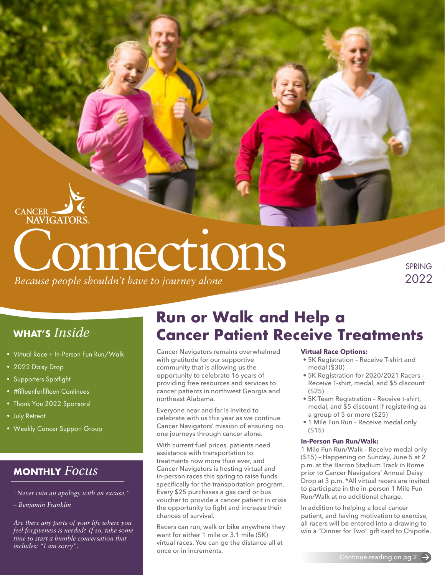# **Connections**

*Because people shouldn't have to journey alone*

SPRING 2022

#### **WHAT'S** *Inside*

- Virtual Race + In-Person Fun Run/Walk
- 2022 Daisy Drop

**CANCER-**

**NAVIGATORS** 

- Supporters Spotlight
- #fifteenforfifteen Continues
- Thank You 2022 Sponsors!
- July Retreat
- Weekly Cancer Support Group

#### **MONTHLY** *Focus*

- *"Never ruin an apology with an excuse."*
- *Benjamin Franklin*

*Are there any parts of your life where you feel forgiveness is needed? If so, take some time to start a humble conversation that includes: "I am sorry".*

#### **Run or Walk and Help a Cancer Patient Receive Treatments**

Cancer Navigators remains overwhelmed with gratitude for our supportive community that is allowing us the opportunity to celebrate 16 years of providing free resources and services to cancer patients in northwest Georgia and northeast Alabama.

Everyone near and far is invited to celebrate with us this year as we continue Cancer Navigators' mission of ensuring no one journeys through cancer alone.

With current fuel prices, patients need assistance with transportation to treatments now more than ever, and Cancer Navigators is hosting virtual and in-person races this spring to raise funds specifically for the transportation program. Every \$25 purchases a gas card or bus voucher to provide a cancer patient in crisis the opportunity to fight and increase their chances of survival.

Racers can run, walk or bike anywhere they want for either 1 mile or 3.1 mile (5K) virtual races. You can go the distance all at once or in increments.

#### **Virtual Race Options:**

- 5K Registration Receive T-shirt and medal (\$30)
- 5K Registration for 2020/2021 Racers Receive T-shirt, medal, and \$5 discount (\$25)
- 5K Team Registration Receive t-shirt, medal, and \$5 discount if registering as a group of 5 or more (\$25)
- 1 Mile Fun Run Receive medal only  $($  $$15)$

#### **In-Person Fun Run/Walk:**

1 Mile Fun Run/Walk – Receive medal only (\$15) – Happening on Sunday, June 5 at 2 p.m. at the Barron Stadium Track in Rome prior to Cancer Navigators' Annual Daisy Drop at 3 p.m. \*All virtual racers are invited to participate in the in-person 1 Mile Fun Run/Walk at no additional charge.

In addition to helping a local cancer patient, and having motivation to exercise, all racers will be entered into a drawing to win a "Dinner for Two" gift card to Chipotle.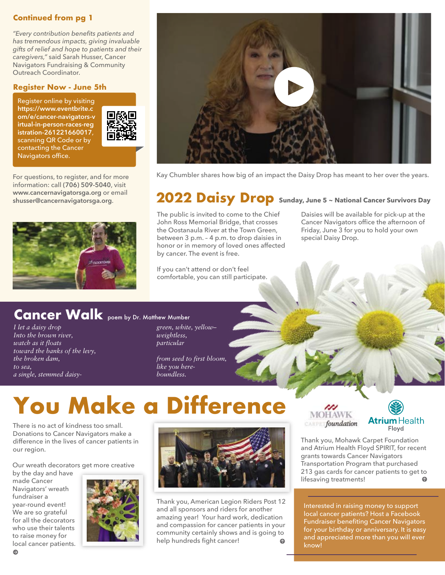#### **Continued from pg 1**

*"Every contribution benefits patients and has tremendous impacts, giving invaluable gifts of relief and hope to patients and their caregivers,"* said Sarah Husser, Cancer Navigators Fundraising & Community Outreach Coordinator.

#### **Register Now - June 5th**

Register online by visiting **https://www.eventbrite.c [om/e/cancer-navigators-v](https://www.eventbrite.com/e/cancer-navigators-virtual-in-person-races-registration-261221660017) irtual-in-person-races-reg istration-261221660017**, scanning QR Code or by contacting the Cancer Navigators office.



For questions, to register, and for more information: call **(706) 509-5040**, visit **[www.cancernavigatorsga.org](http://www.cancernavigatorsga.org)** or email





Kay Chumbler shares how big of an impact the Daisy Drop has meant to her over the years.

#### **[shusser@cancernavigatorsga.org](mailto:shusser%40cancernavigatorsga.org?subject=)**. **2022 Daisy Drop Sunday, June 5 ~ National Cancer Survivors Day**

The public is invited to come to the Chief John Ross Memorial Bridge, that crosses the Oostanaula River at the Town Green, between 3 p.m. – 4 p.m. to drop daisies in honor or in memory of loved ones affected by cancer. The event is free.

If you can't attend or don't feel comfortable, you can still participate. Daisies will be available for pick-up at the Cancer Navigators office the afternoon of Friday, June 3 for you to hold your own special Daisy Drop.

#### **Cancer Walk** poem by Dr. Matthew Mumber

*I let a daisy drop Into the brown river, watch as it floats toward the banks of the levy, the broken dam, to sea, a single, stemmed daisy-* *green, white, yellow– weightless, particular*

*from seed to first bloom, like you hereboundless.*

## **You Make a Difference**

There is no act of kindness too small. Donations to Cancer Navigators make a difference in the lives of cancer patients in our region.

Our wreath decorators get more creative

by the day and have made Cancer Navigators' wreath fundraiser a year-round event! We are so grateful for all the decorators who use their talents to raise money for local cancer patients.





Thank you, American Legion Riders Post 12 and all sponsors and riders for another amazing year! Your hard work, dedication and compassion for cancer patients in your community certainly shows and is going to help hundreds fight cancer!





Thank you, Mohawk Carpet Foundation and Atrium Health Floyd SPIRIT, for recent grants towards Cancer Navigators Transportation Program that purchased 213 gas cards for cancer patients to get to lifesaving treatments!

Interested in raising money to support local cancer patients? Host a Facebook Fundraiser benefiting Cancer Navigators for your birthday or anniversary. It is easy and appreciated more than you will ever know!